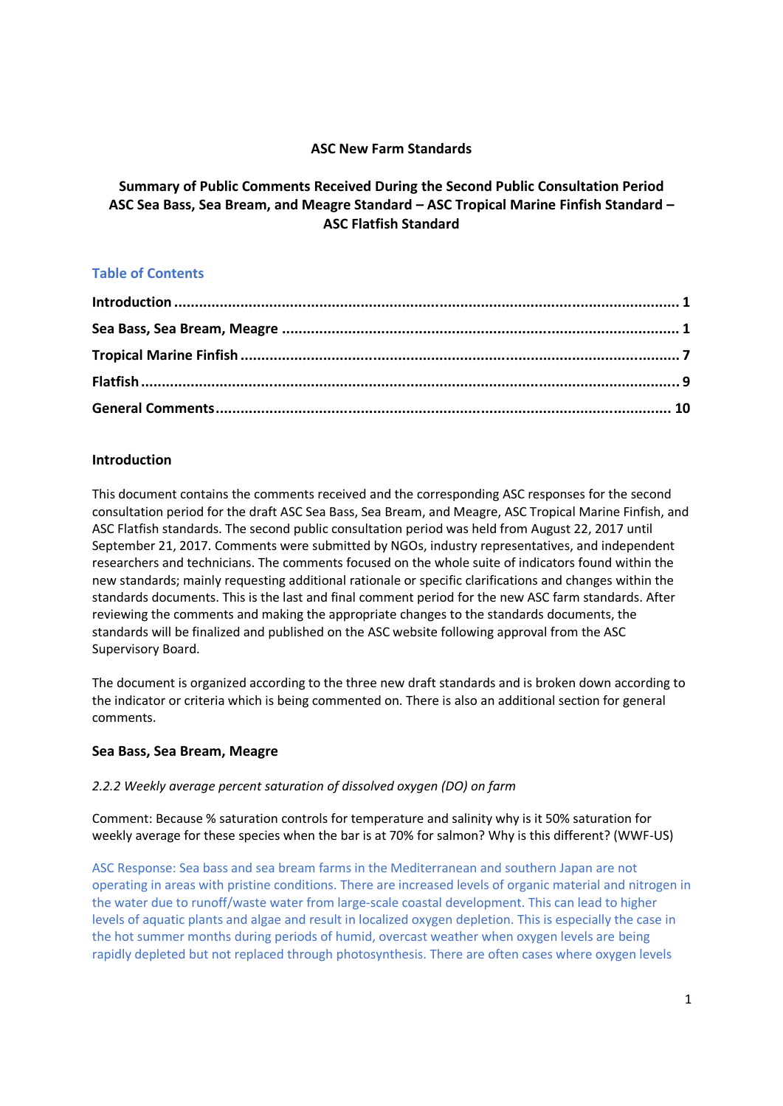# **ASC New Farm Standards**

# **Summary of Public Comments Received During the Second Public Consultation Period ASC Sea Bass, Sea Bream, and Meagre Standard – ASC Tropical Marine Finfish Standard – ASC Flatfish Standard**

# **Table of Contents**

# **Introduction**

This document contains the comments received and the corresponding ASC responses for the second consultation period for the draft ASC Sea Bass, Sea Bream, and Meagre, ASC Tropical Marine Finfish, and ASC Flatfish standards. The second public consultation period was held from August 22, 2017 until September 21, 2017. Comments were submitted by NGOs, industry representatives, and independent researchers and technicians. The comments focused on the whole suite of indicators found within the new standards; mainly requesting additional rationale or specific clarifications and changes within the standards documents. This is the last and final comment period for the new ASC farm standards. After reviewing the comments and making the appropriate changes to the standards documents, the standards will be finalized and published on the ASC website following approval from the ASC Supervisory Board.

The document is organized according to the three new draft standards and is broken down according to the indicator or criteria which is being commented on. There is also an additional section for general comments.

# **Sea Bass, Sea Bream, Meagre**

## *2.2.2 Weekly average percent saturation of dissolved oxygen (DO) on farm*

Comment: Because % saturation controls for temperature and salinity why is it 50% saturation for weekly average for these species when the bar is at 70% for salmon? Why is this different? (WWF-US)

ASC Response: Sea bass and sea bream farms in the Mediterranean and southern Japan are not operating in areas with pristine conditions. There are increased levels of organic material and nitrogen in the water due to runoff/waste water from large-scale coastal development. This can lead to higher levels of aquatic plants and algae and result in localized oxygen depletion. This is especially the case in the hot summer months during periods of humid, overcast weather when oxygen levels are being rapidly depleted but not replaced through photosynthesis. There are often cases where oxygen levels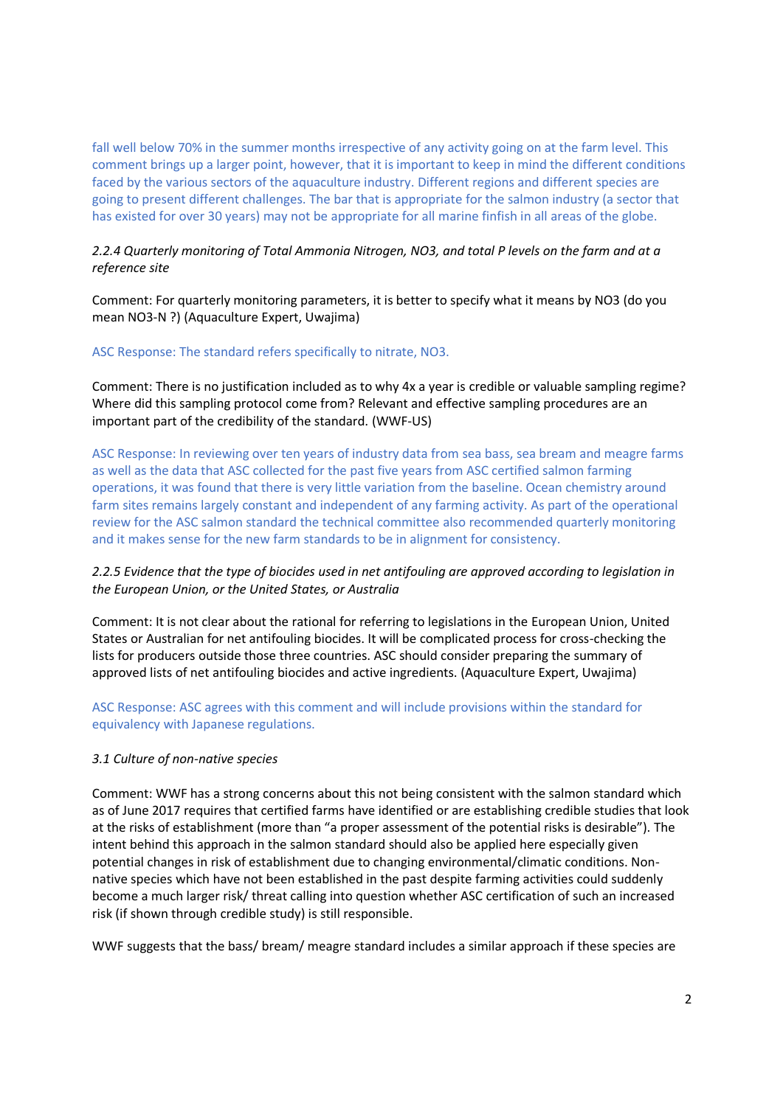fall well below 70% in the summer months irrespective of any activity going on at the farm level. This comment brings up a larger point, however, that it is important to keep in mind the different conditions faced by the various sectors of the aquaculture industry. Different regions and different species are going to present different challenges. The bar that is appropriate for the salmon industry (a sector that has existed for over 30 years) may not be appropriate for all marine finfish in all areas of the globe.

# *2.2.4 Quarterly monitoring of Total Ammonia Nitrogen, NO3, and total P levels on the farm and at a reference site*

Comment: For quarterly monitoring parameters, it is better to specify what it means by NO3 (do you mean NO3-N ?) (Aquaculture Expert, Uwajima)

## ASC Response: The standard refers specifically to nitrate, NO3.

Comment: There is no justification included as to why 4x a year is credible or valuable sampling regime? Where did this sampling protocol come from? Relevant and effective sampling procedures are an important part of the credibility of the standard. (WWF-US)

ASC Response: In reviewing over ten years of industry data from sea bass, sea bream and meagre farms as well as the data that ASC collected for the past five years from ASC certified salmon farming operations, it was found that there is very little variation from the baseline. Ocean chemistry around farm sites remains largely constant and independent of any farming activity. As part of the operational review for the ASC salmon standard the technical committee also recommended quarterly monitoring and it makes sense for the new farm standards to be in alignment for consistency.

# *2.2.5 Evidence that the type of biocides used in net antifouling are approved according to legislation in the European Union, or the United States, or Australia*

Comment: It is not clear about the rational for referring to legislations in the European Union, United States or Australian for net antifouling biocides. It will be complicated process for cross-checking the lists for producers outside those three countries. ASC should consider preparing the summary of approved lists of net antifouling biocides and active ingredients. (Aquaculture Expert, Uwajima)

## ASC Response: ASC agrees with this comment and will include provisions within the standard for equivalency with Japanese regulations.

## *3.1 Culture of non-native species*

Comment: WWF has a strong concerns about this not being consistent with the salmon standard which as of June 2017 requires that certified farms have identified or are establishing credible studies that look at the risks of establishment (more than "a proper assessment of the potential risks is desirable"). The intent behind this approach in the salmon standard should also be applied here especially given potential changes in risk of establishment due to changing environmental/climatic conditions. Non native species which have not been established in the past despite farming activities could suddenly become a much larger risk/ threat calling into question whether ASC certification of such an increased risk (if shown through credible study) is still responsible.

WWF suggests that the bass/ bream/ meagre standard includes a similar approach if these species are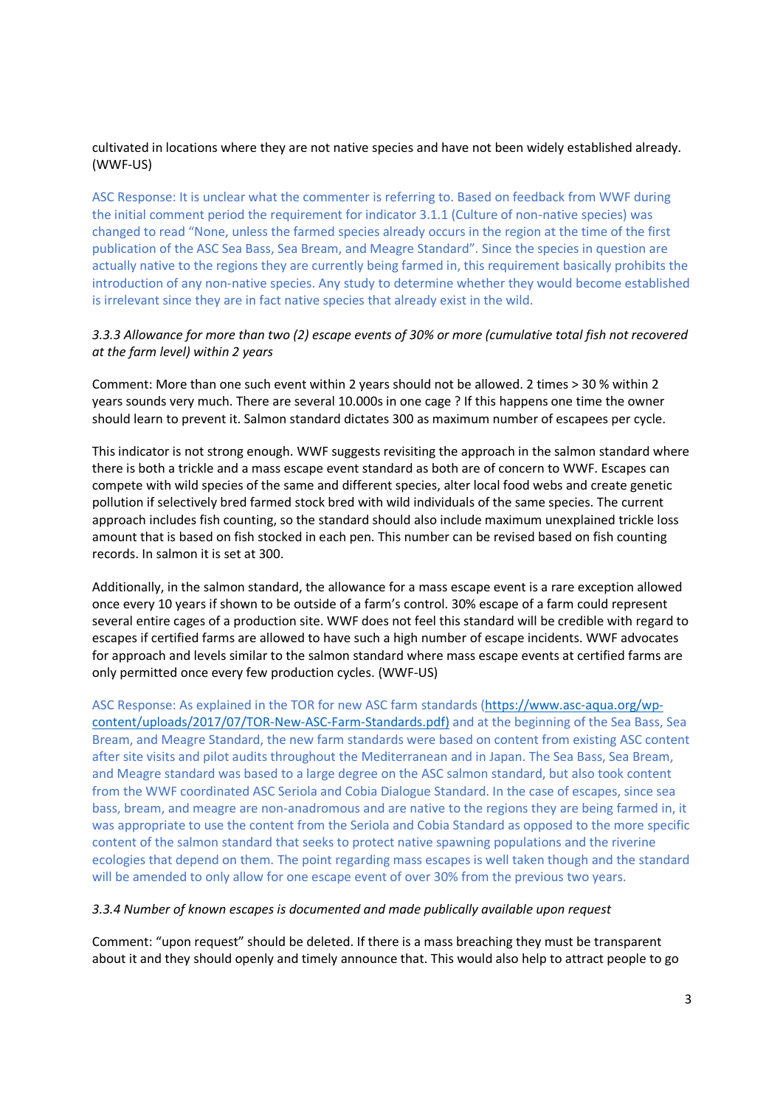## cultivated in locations where they are not native species and have not been widely established already. (WWF-US)

ASC Response: It is unclear what the commenter is referring to. Based on feedback from WWF during the initial comment period the requirement for indicator 3.1.1 (Culture of non-native species) was changed to read "None, unless the farmed species already occurs in the region at the time of the first publication of the ASC Sea Bass, Sea Bream, and Meagre Standard". Since the species in question are actually native to the regions they are currently being farmed in, this requirement basically prohibits the introduction of any non-native species. Any study to determine whether they would become established is irrelevant since they are in fact native species that already exist in the wild.

# *3.3.3 Allowance for more than two (2) escape events of 30% or more (cumulative total fish not recovered at the farm level) within 2 years*

Comment: More than one such event within 2 years should not be allowed. 2 times > 30 % within 2 years sounds very much. There are several 10.000s in one cage ? If this happens one time the owner should learn to prevent it. Salmon standard dictates 300 as maximum number of escapees per cycle.

This indicator is not strong enough. WWF suggests revisiting the approach in the salmon standard where there is both a trickle and a mass escape event standard as both are of concern to WWF. Escapes can compete with wild species of the same and different species, alter local food webs and create genetic pollution if selectively bred farmed stock bred with wild individuals of the same species. The current approach includes fish counting, so the standard should also include maximum unexplained trickle loss amount that is based on fish stocked in each pen. This number can be revised based on fish counting records. In salmon it is set at 300.

Additionally, in the salmon standard, the allowance for a mass escape event is a rare exception allowed once every 10 years if shown to be outside of a farm's control. 30% escape of a farm could represent several entire cages of a production site. WWF does not feel this standard will be credible with regard to escapes if certified farms are allowed to have such a high number of escape incidents. WWF advocates for approach and levels similar to the salmon standard where mass escape events at certified farms are only permitted once every few production cycles. (WWF-US)

ASC Response: As explained in the TOR for new ASC farm standards (https://www.asc-aqua.org/wp content/uploads/2017/07/TOR-New-ASC-Farm-Standards.pdf) and at the beginning of the Sea Bass, Sea Bream, and Meagre Standard, the new farm standards were based on content from existing ASC content after site visits and pilot audits throughout the Mediterranean and in Japan. The Sea Bass, Sea Bream, and Meagre standard was based to a large degree on the ASC salmon standard, but also took content from the WWF coordinated ASC Seriola and Cobia Dialogue Standard. In the case of escapes, since sea bass, bream, and meagre are non-anadromous and are native to the regions they are being farmed in, it was appropriate to use the content from the Seriola and Cobia Standard as opposed to the more specific content of the salmon standard that seeks to protect native spawning populations and the riverine ecologies that depend on them. The point regarding mass escapes is well taken though and the standard will be amended to only allow for one escape event of over 30% from the previous two years.

#### *3.3.4 Number of known escapes is documented and made publically available upon request*

Comment: "upon request" should be deleted. If there is a mass breaching they must be transparent about it and they should openly and timely announce that. This would also help to attract people to go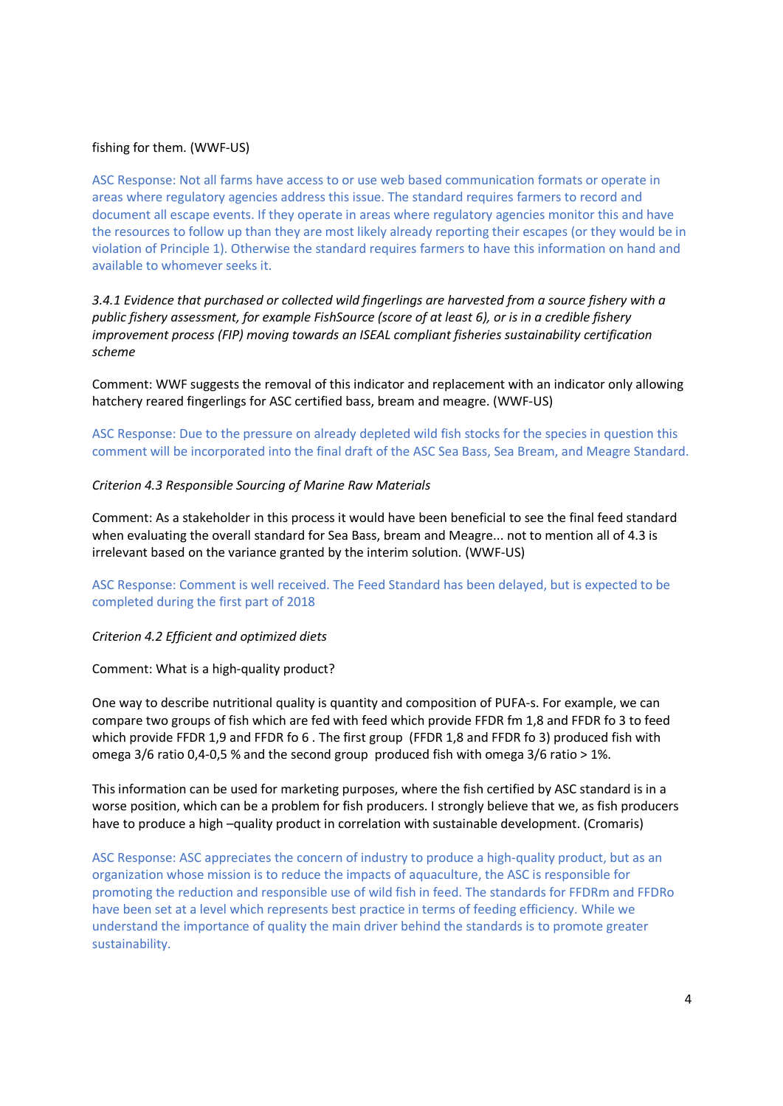#### fishing for them. (WWF-US)

ASC Response: Not all farms have access to or use web based communication formats or operate in areas where regulatory agencies address this issue. The standard requires farmers to record and document all escape events. If they operate in areas where regulatory agencies monitor this and have the resources to follow up than they are most likely already reporting their escapes (or they would be in violation of Principle 1). Otherwise the standard requires farmers to have this information on hand and available to whomever seeks it.

*3.4.1 Evidence that purchased or collected wild fingerlings are harvested from a source fishery with a public fishery assessment, for example FishSource (score of at least 6), or is in a credible fishery improvement process (FIP) moving towards an ISEAL compliant fisheries sustainability certification scheme*

Comment: WWF suggests the removal of this indicator and replacement with an indicator only allowing hatchery reared fingerlings for ASC certified bass, bream and meagre. (WWF-US)

ASC Response: Due to the pressure on already depleted wild fish stocks for the species in question this comment will be incorporated into the final draft of the ASC Sea Bass, Sea Bream, and Meagre Standard.

#### *Criterion 4.3 Responsible Sourcing of Marine Raw Materials*

Comment: As a stakeholder in this process it would have been beneficial to see the final feed standard when evaluating the overall standard for Sea Bass, bream and Meagre... not to mention all of 4.3 is irrelevant based on the variance granted by the interim solution. (WWF-US)

ASC Response: Comment is well received. The Feed Standard has been delayed, but is expected to be completed during the first part of 2018

#### *Criterion 4.2 Efficient and optimized diets*

Comment: What is a high-quality product?

One way to describe nutritional quality is quantity and composition of PUFA-s. For example, we can compare two groups of fish which are fed with feed which provide FFDR fm 1,8 and FFDR fo 3 to feed which provide FFDR 1,9 and FFDR fo 6 . The first group (FFDR 1,8 and FFDR fo 3) produced fish with omega 3/6 ratio 0,4-0,5 % and the second group produced fish with omega 3/6 ratio > 1%.

This information can be used for marketing purposes, where the fish certified by ASC standard is in a worse position, which can be a problem for fish producers. I strongly believe that we, as fish producers have to produce a high –quality product in correlation with sustainable development. (Cromaris)

ASC Response: ASC appreciates the concern of industry to produce a high-quality product, but as an organization whose mission is to reduce the impacts of aquaculture, the ASC is responsible for promoting the reduction and responsible use of wild fish in feed. The standards for FFDRm and FFDRo have been set at a level which represents best practice in terms of feeding efficiency. While we understand the importance of quality the main driver behind the standards is to promote greater sustainability.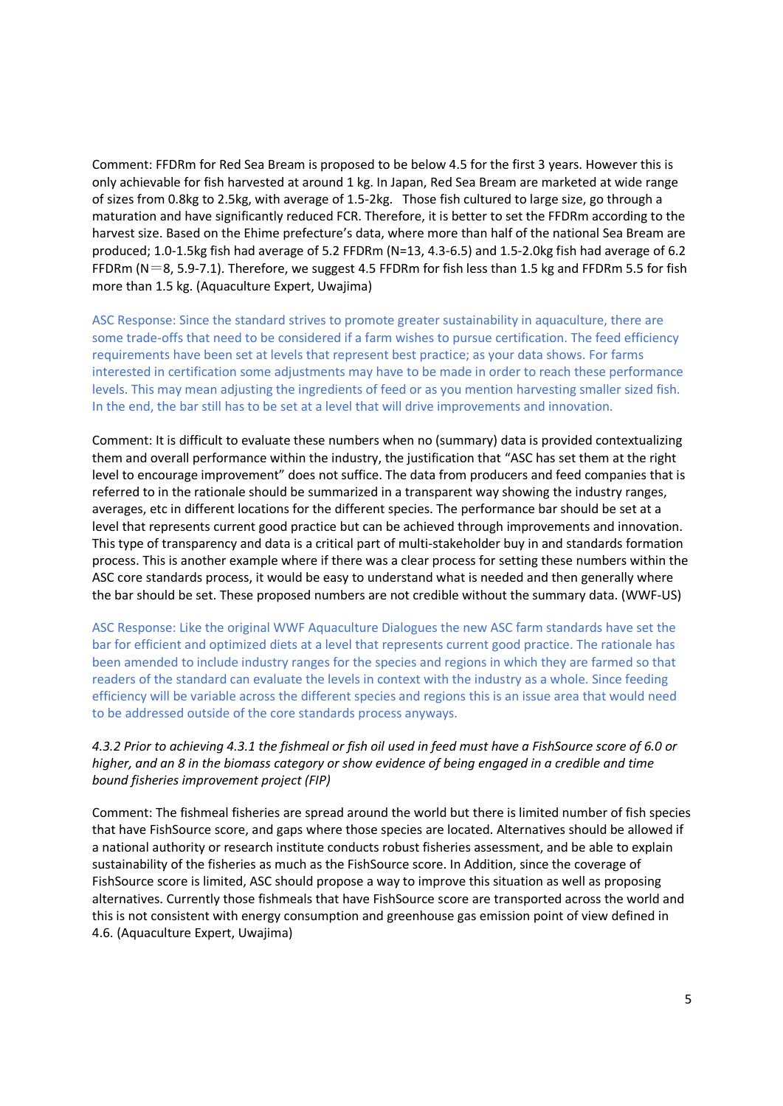Comment: FFDRm for Red Sea Bream is proposed to be below 4.5 for the first 3 years. However this is only achievable for fish harvested at around 1 kg. In Japan, Red Sea Bream are marketed at wide range of sizes from 0.8kg to 2.5kg, with average of 1.5-2kg. Those fish cultured to large size, go through a maturation and have significantly reduced FCR. Therefore, it is better to set the FFDRm according to the harvest size. Based on the Ehime prefecture's data, where more than half of the national Sea Bream are produced; 1.0-1.5kg fish had average of 5.2 FFDRm (N=13, 4.3-6.5) and 1.5-2.0kg fish had average of 6.2 FFDRm (N=8, 5.9-7.1). Therefore, we suggest 4.5 FFDRm for fish less than 1.5 kg and FFDRm 5.5 for fish more than 1.5 kg. (Aquaculture Expert, Uwajima)

ASC Response: Since the standard strives to promote greater sustainability in aquaculture, there are some trade-offs that need to be considered if a farm wishes to pursue certification. The feed efficiency requirements have been set at levels that represent best practice; as your data shows. For farms interested in certification some adjustments may have to be made in order to reach these performance levels. This may mean adjusting the ingredients of feed or as you mention harvesting smaller sized fish. In the end, the bar still has to be set at a level that will drive improvements and innovation.

Comment: It is difficult to evaluate these numbers when no (summary) data is provided contextualizing them and overall performance within the industry, the justification that "ASC has set them at the right level to encourage improvement" does not suffice. The data from producers and feed companies that is referred to in the rationale should be summarized in a transparent way showing the industry ranges, averages, etc in different locations for the different species. The performance bar should be set at a level that represents current good practice but can be achieved through improvements and innovation. This type of transparency and data is a critical part of multi-stakeholder buy in and standards formation process. This is another example where if there was a clear process for setting these numbers within the ASC core standards process, it would be easy to understand what is needed and then generally where the bar should be set. These proposed numbers are not credible without the summary data. (WWF-US)

ASC Response: Like the original WWF Aquaculture Dialogues the new ASC farm standards have set the bar for efficient and optimized diets at a level that represents current good practice. The rationale has been amended to include industry ranges for the species and regions in which they are farmed so that readers of the standard can evaluate the levels in context with the industry as a whole. Since feeding efficiency will be variable across the different species and regions this is an issue area that would need to be addressed outside of the core standards process anyways.

# *4.3.2 Prior to achieving 4.3.1 the fishmeal or fish oil used in feed must have a FishSource score of 6.0 or higher, and an 8 in the biomass category or show evidence of being engaged in a credible and time bound fisheries improvement project (FIP)*

Comment: The fishmeal fisheries are spread around the world but there is limited number of fish species that have FishSource score, and gaps where those species are located. Alternatives should be allowed if a national authority or research institute conducts robust fisheries assessment, and be able to explain sustainability of the fisheries as much as the FishSource score. In Addition, since the coverage of FishSource score is limited, ASC should propose a way to improve this situation as well as proposing alternatives. Currently those fishmeals that have FishSource score are transported across the world and this is not consistent with energy consumption and greenhouse gas emission point of view defined in 4.6. (Aquaculture Expert, Uwajima)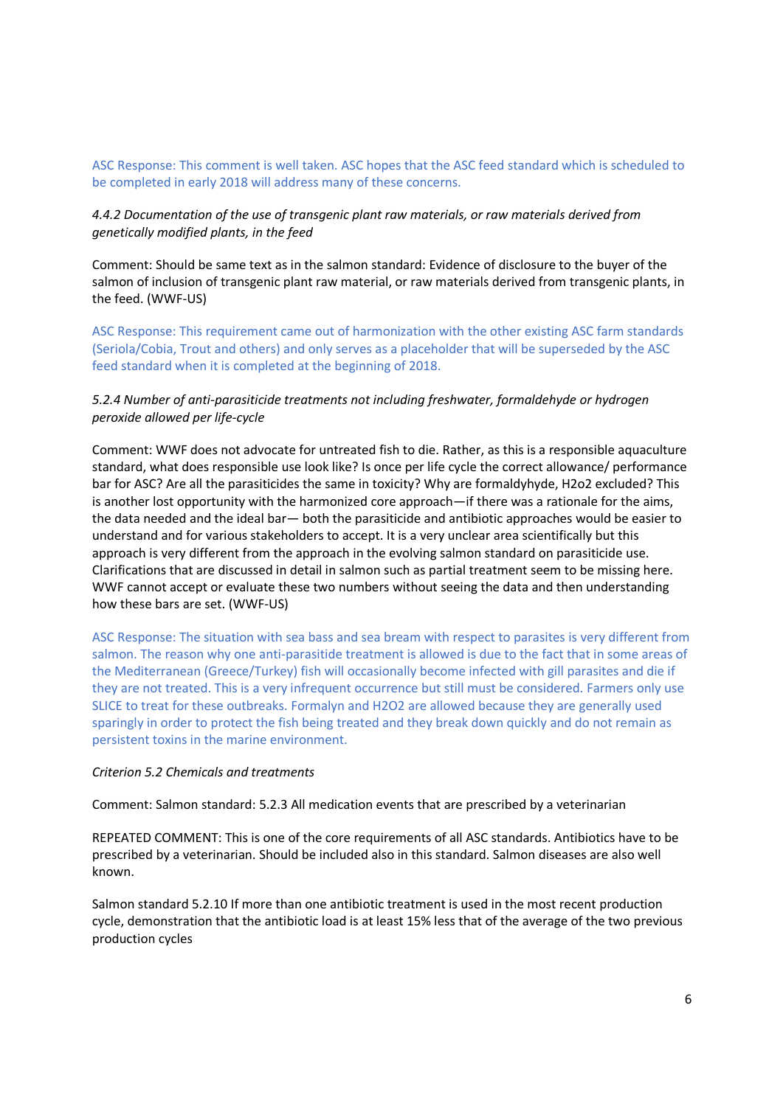ASC Response: This comment is well taken. ASC hopes that the ASC feed standard which is scheduled to be completed in early 2018 will address many of these concerns.

### *4.4.2 Documentation of the use of transgenic plant raw materials, or raw materials derived from genetically modified plants, in the feed*

Comment: Should be same text as in the salmon standard: Evidence of disclosure to the buyer of the salmon of inclusion of transgenic plant raw material, or raw materials derived from transgenic plants, in the feed. (WWF-US)

ASC Response: This requirement came out of harmonization with the other existing ASC farm standards (Seriola/Cobia, Trout and others) and only serves as a placeholder that will be superseded by the ASC feed standard when it is completed at the beginning of 2018.

## *5.2.4 Number of anti-parasiticide treatments not including freshwater, formaldehyde or hydrogen peroxide allowed per life-cycle*

Comment: WWF does not advocate for untreated fish to die. Rather, as this is a responsible aquaculture standard, what does responsible use look like? Is once per life cycle the correct allowance/ performance bar for ASC? Are all the parasiticides the same in toxicity? Why are formaldyhyde, H2o2 excluded? This is another lost opportunity with the harmonized core approach—if there was a rationale for the aims, the data needed and the ideal bar— both the parasiticide and antibiotic approaches would be easier to understand and for various stakeholders to accept. It is a very unclear area scientifically but this approach is very different from the approach in the evolving salmon standard on parasiticide use. Clarifications that are discussed in detail in salmon such as partial treatment seem to be missing here. WWF cannot accept or evaluate these two numbers without seeing the data and then understanding how these bars are set. (WWF-US)

ASC Response: The situation with sea bass and sea bream with respect to parasites is very different from salmon. The reason why one anti-parasitide treatment is allowed is due to the fact that in some areas of the Mediterranean (Greece/Turkey) fish will occasionally become infected with gill parasites and die if they are not treated. This is a very infrequent occurrence but still must be considered. Farmers only use SLICE to treat for these outbreaks. Formalyn and H2O2 are allowed because they are generally used sparingly in order to protect the fish being treated and they break down quickly and do not remain as persistent toxins in the marine environment.

### *Criterion 5.2 Chemicals and treatments*

Comment: Salmon standard: 5.2.3 All medication events that are prescribed by a veterinarian

REPEATED COMMENT: This is one of the core requirements of all ASC standards. Antibiotics have to be prescribed by a veterinarian. Should be included also in this standard. Salmon diseases are also well known.

Salmon standard 5.2.10 If more than one antibiotic treatment is used in the most recent production cycle, demonstration that the antibiotic load is at least 15% less that of the average of the two previous production cycles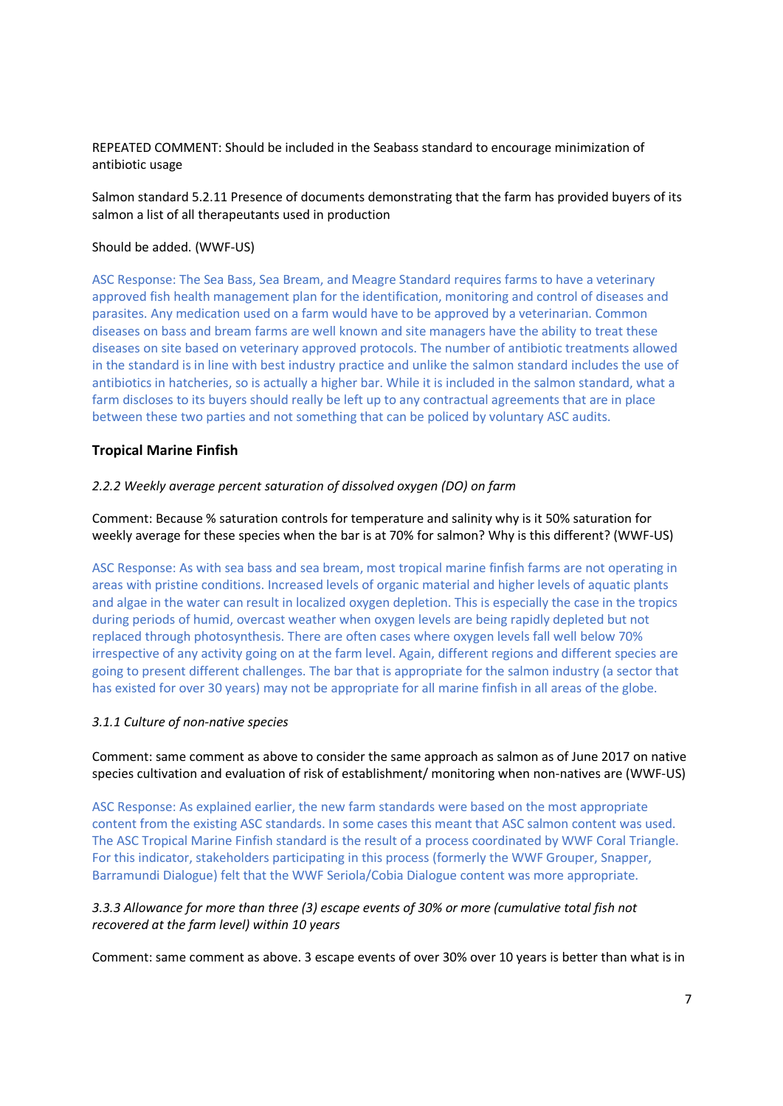REPEATED COMMENT: Should be included in the Seabass standard to encourage minimization of antibiotic usage

Salmon standard 5.2.11 Presence of documents demonstrating that the farm has provided buyers of its salmon a list of all therapeutants used in production

#### Should be added. (WWF-US)

ASC Response: The Sea Bass, Sea Bream, and Meagre Standard requires farms to have a veterinary approved fish health management plan for the identification, monitoring and control of diseases and parasites. Any medication used on a farm would have to be approved by a veterinarian. Common diseases on bass and bream farms are well known and site managers have the ability to treat these diseases on site based on veterinary approved protocols. The number of antibiotic treatments allowed in the standard is in line with best industry practice and unlike the salmon standard includes the use of antibiotics in hatcheries, so is actually a higher bar. While it is included in the salmon standard, what a farm discloses to its buyers should really be left up to any contractual agreements that are in place between these two parties and not something that can be policed by voluntary ASC audits.

#### **Tropical Marine Finfish**

#### *2.2.2 Weekly average percent saturation of dissolved oxygen (DO) on farm*

Comment: Because % saturation controls for temperature and salinity why is it 50% saturation for weekly average for these species when the bar is at 70% for salmon? Why is this different? (WWF-US)

ASC Response: As with sea bass and sea bream, most tropical marine finfish farms are not operating in areas with pristine conditions. Increased levels of organic material and higher levels of aquatic plants and algae in the water can result in localized oxygen depletion. This is especially the case in the tropics during periods of humid, overcast weather when oxygen levels are being rapidly depleted but not replaced through photosynthesis. There are often cases where oxygen levels fall well below 70% irrespective of any activity going on at the farm level. Again, different regions and different species are going to present different challenges. The bar that is appropriate for the salmon industry (a sector that has existed for over 30 years) may not be appropriate for all marine finfish in all areas of the globe.

#### *3.1.1 Culture of non-native species*

Comment: same comment as above to consider the same approach as salmon as of June 2017 on native species cultivation and evaluation of risk of establishment/ monitoring when non-natives are (WWF-US)

ASC Response: As explained earlier, the new farm standards were based on the most appropriate content from the existing ASC standards. In some cases this meant that ASC salmon content was used. The ASC Tropical Marine Finfish standard is the result of a process coordinated by WWF Coral Triangle. For this indicator, stakeholders participating in this process (formerly the WWF Grouper, Snapper, Barramundi Dialogue) felt that the WWF Seriola/Cobia Dialogue content was more appropriate.

## *3.3.3 Allowance for more than three (3) escape events of 30% or more (cumulative total fish not recovered at the farm level) within 10 years*

Comment: same comment as above. 3 escape events of over 30% over 10 years is better than what is in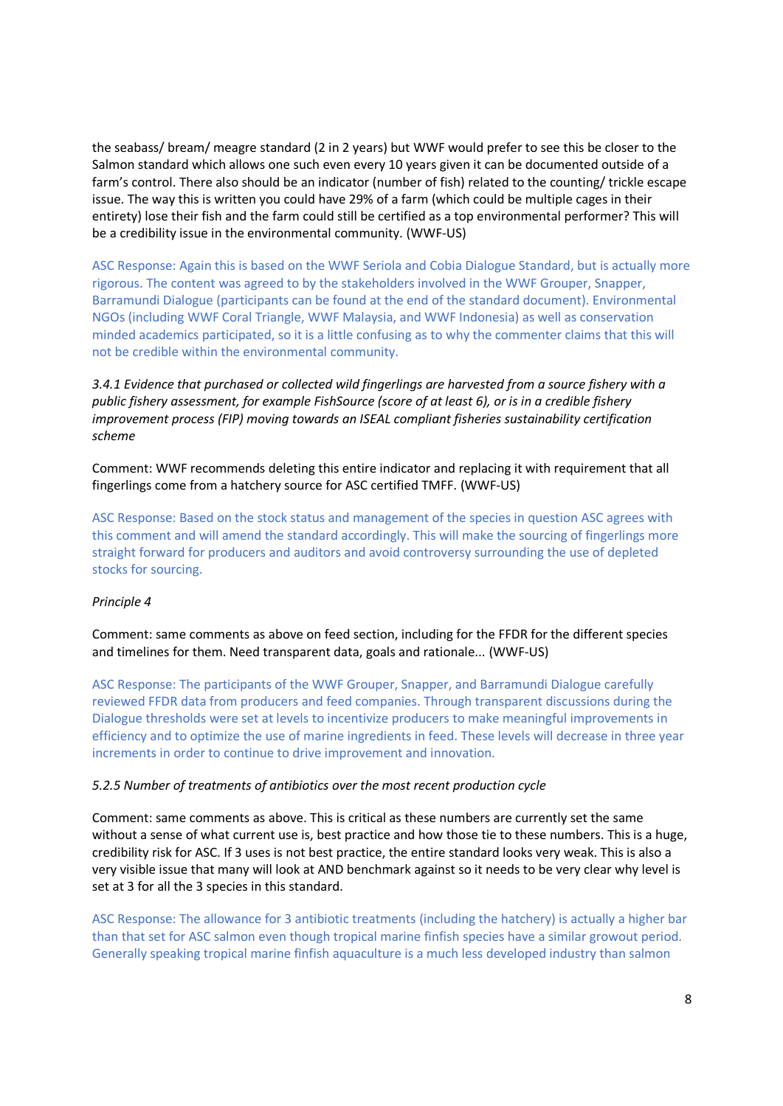the seabass/ bream/ meagre standard (2 in 2 years) but WWF would prefer to see this be closer to the Salmon standard which allows one such even every 10 years given it can be documented outside of a farm's control. There also should be an indicator (number of fish) related to the counting/ trickle escape issue. The way this is written you could have 29% of a farm (which could be multiple cages in their entirety) lose their fish and the farm could still be certified as a top environmental performer? This will be a credibility issue in the environmental community. (WWF-US)

ASC Response: Again this is based on the WWF Seriola and Cobia Dialogue Standard, but is actually more rigorous. The content was agreed to by the stakeholders involved in the WWF Grouper, Snapper, Barramundi Dialogue (participants can be found at the end of the standard document). Environmental NGOs (including WWF Coral Triangle, WWF Malaysia, and WWF Indonesia) as well as conservation minded academics participated, so it is a little confusing as to why the commenter claims that this will not be credible within the environmental community.

*3.4.1 Evidence that purchased or collected wild fingerlings are harvested from a source fishery with a public fishery assessment, for example FishSource (score of at least 6), or is in a credible fishery improvement process (FIP) moving towards an ISEAL compliant fisheries sustainability certification scheme*

Comment: WWF recommends deleting this entire indicator and replacing it with requirement that all fingerlings come from a hatchery source for ASC certified TMFF. (WWF-US)

ASC Response: Based on the stock status and management of the species in question ASC agrees with this comment and will amend the standard accordingly. This will make the sourcing of fingerlings more straight forward for producers and auditors and avoid controversy surrounding the use of depleted stocks for sourcing.

## *Principle 4*

Comment: same comments as above on feed section, including for the FFDR for the different species and timelines for them. Need transparent data, goals and rationale... (WWF-US)

ASC Response: The participants of the WWF Grouper, Snapper, and Barramundi Dialogue carefully reviewed FFDR data from producers and feed companies. Through transparent discussions during the Dialogue thresholds were set at levels to incentivize producers to make meaningful improvements in efficiency and to optimize the use of marine ingredients in feed. These levels will decrease in three year increments in order to continue to drive improvement and innovation.

#### *5.2.5 Number of treatments of antibiotics over the most recent production cycle*

Comment: same comments as above. This is critical as these numbers are currently set the same without a sense of what current use is, best practice and how those tie to these numbers. This is a huge, credibility risk for ASC. If 3 uses is not best practice, the entire standard looks very weak. This is also a very visible issue that many will look at AND benchmark against so it needs to be very clear why level is set at 3 for all the 3 species in this standard.

ASC Response: The allowance for 3 antibiotic treatments (including the hatchery) is actually a higher bar than that set for ASC salmon even though tropical marine finfish species have a similar growout period. Generally speaking tropical marine finfish aquaculture is a much less developed industry than salmon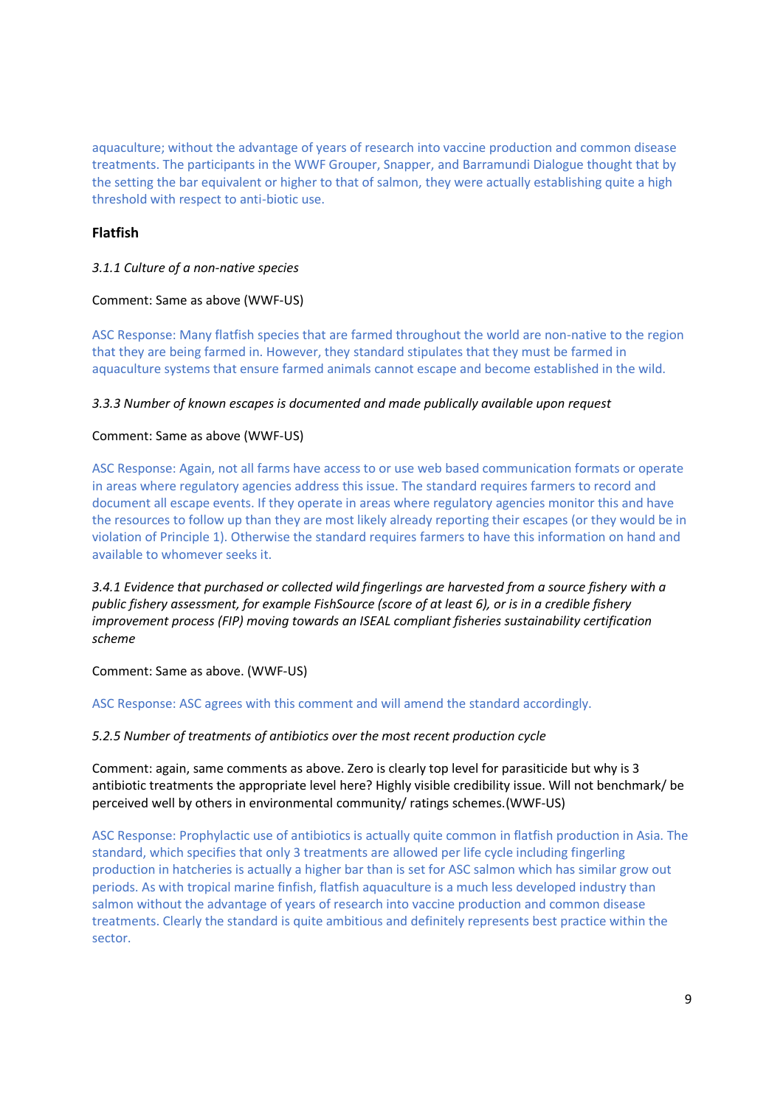aquaculture; without the advantage of years of research into vaccine production and common disease treatments. The participants in the WWF Grouper, Snapper, and Barramundi Dialogue thought that by the setting the bar equivalent or higher to that of salmon, they were actually establishing quite a high threshold with respect to anti-biotic use.

# **Flatfish**

# *3.1.1 Culture of a non-native species*

## Comment: Same as above (WWF-US)

ASC Response: Many flatfish species that are farmed throughout the world are non-native to the region that they are being farmed in. However, they standard stipulates that they must be farmed in aquaculture systems that ensure farmed animals cannot escape and become established in the wild.

## *3.3.3 Number of known escapes is documented and made publically available upon request*

# Comment: Same as above (WWF-US)

ASC Response: Again, not all farms have access to or use web based communication formats or operate in areas where regulatory agencies address this issue. The standard requires farmers to record and document all escape events. If they operate in areas where regulatory agencies monitor this and have the resources to follow up than they are most likely already reporting their escapes (or they would be in violation of Principle 1). Otherwise the standard requires farmers to have this information on hand and available to whomever seeks it.

*3.4.1 Evidence that purchased or collected wild fingerlings are harvested from a source fishery with a public fishery assessment, for example FishSource (score of at least 6), or is in a credible fishery improvement process (FIP) moving towards an ISEAL compliant fisheries sustainability certification scheme*

Comment: Same as above. (WWF-US)

ASC Response: ASC agrees with this comment and will amend the standard accordingly.

## *5.2.5 Number of treatments of antibiotics over the most recent production cycle*

Comment: again, same comments as above. Zero is clearly top level for parasiticide but why is 3 antibiotic treatments the appropriate level here? Highly visible credibility issue. Will not benchmark/ be perceived well by others in environmental community/ ratings schemes.(WWF-US)

ASC Response: Prophylactic use of antibiotics is actually quite common in flatfish production in Asia. The standard, which specifies that only 3 treatments are allowed per life cycle including fingerling production in hatcheries is actually a higher bar than is set for ASC salmon which has similar grow out periods. As with tropical marine finfish, flatfish aquaculture is a much less developed industry than salmon without the advantage of years of research into vaccine production and common disease treatments. Clearly the standard is quite ambitious and definitely represents best practice within the sector.